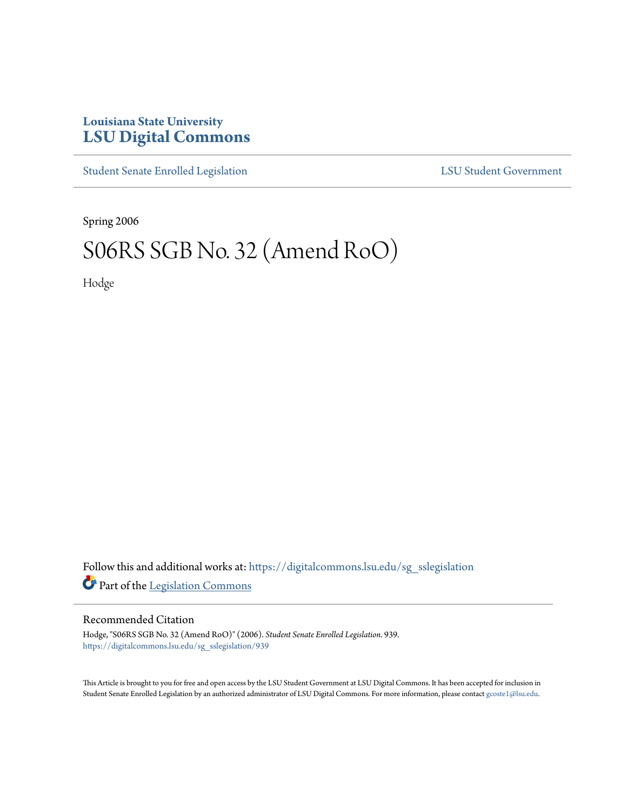## **Louisiana State University [LSU Digital Commons](https://digitalcommons.lsu.edu?utm_source=digitalcommons.lsu.edu%2Fsg_sslegislation%2F939&utm_medium=PDF&utm_campaign=PDFCoverPages)**

[Student Senate Enrolled Legislation](https://digitalcommons.lsu.edu/sg_sslegislation?utm_source=digitalcommons.lsu.edu%2Fsg_sslegislation%2F939&utm_medium=PDF&utm_campaign=PDFCoverPages) [LSU Student Government](https://digitalcommons.lsu.edu/sg?utm_source=digitalcommons.lsu.edu%2Fsg_sslegislation%2F939&utm_medium=PDF&utm_campaign=PDFCoverPages)

Spring 2006

# S06RS SGB No. 32 (Amend RoO)

Hodge

Follow this and additional works at: [https://digitalcommons.lsu.edu/sg\\_sslegislation](https://digitalcommons.lsu.edu/sg_sslegislation?utm_source=digitalcommons.lsu.edu%2Fsg_sslegislation%2F939&utm_medium=PDF&utm_campaign=PDFCoverPages) Part of the [Legislation Commons](http://network.bepress.com/hgg/discipline/859?utm_source=digitalcommons.lsu.edu%2Fsg_sslegislation%2F939&utm_medium=PDF&utm_campaign=PDFCoverPages)

#### Recommended Citation

Hodge, "S06RS SGB No. 32 (Amend RoO)" (2006). *Student Senate Enrolled Legislation*. 939. [https://digitalcommons.lsu.edu/sg\\_sslegislation/939](https://digitalcommons.lsu.edu/sg_sslegislation/939?utm_source=digitalcommons.lsu.edu%2Fsg_sslegislation%2F939&utm_medium=PDF&utm_campaign=PDFCoverPages)

This Article is brought to you for free and open access by the LSU Student Government at LSU Digital Commons. It has been accepted for inclusion in Student Senate Enrolled Legislation by an authorized administrator of LSU Digital Commons. For more information, please contact [gcoste1@lsu.edu.](mailto:gcoste1@lsu.edu)